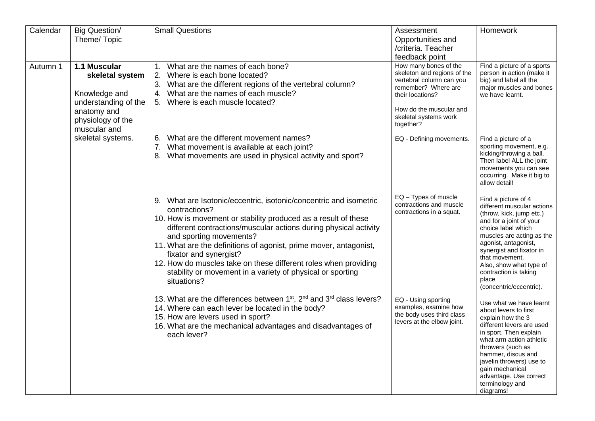| Calendar | <b>Big Question/</b><br>Theme/Topic                                                                                                               | <b>Small Questions</b>                                                                                                                                                                                                                                                                                                                                                                                                                                                                             | Assessment<br>Opportunities and<br>/criteria. Teacher<br>feedback point                                                                                                                                                                                                         | Homework                                                                                                                                                                                                                                                                                                                  |
|----------|---------------------------------------------------------------------------------------------------------------------------------------------------|----------------------------------------------------------------------------------------------------------------------------------------------------------------------------------------------------------------------------------------------------------------------------------------------------------------------------------------------------------------------------------------------------------------------------------------------------------------------------------------------------|---------------------------------------------------------------------------------------------------------------------------------------------------------------------------------------------------------------------------------------------------------------------------------|---------------------------------------------------------------------------------------------------------------------------------------------------------------------------------------------------------------------------------------------------------------------------------------------------------------------------|
| Autumn 1 | 1.1 Muscular<br>skeletal system<br>Knowledge and<br>understanding of the<br>anatomy and<br>physiology of the<br>muscular and<br>skeletal systems. | What are the names of each bone?<br>1.<br>Where is each bone located?<br>2.<br>What are the different regions of the vertebral column?<br>3.<br>What are the names of each muscle?<br>4.<br>Where is each muscle located?<br>5.                                                                                                                                                                                                                                                                    | How many bones of the<br>skeleton and regions of the<br>vertebral column can you<br>remember? Where are<br>their locations?<br>How do the muscular and<br>skeletal systems work<br>together?                                                                                    | Find a picture of a sports<br>person in action (make it<br>big) and label all the<br>major muscles and bones<br>we have learnt.                                                                                                                                                                                           |
|          |                                                                                                                                                   | 6. What are the different movement names?<br>What movement is available at each joint?<br>7.<br>8. What movements are used in physical activity and sport?                                                                                                                                                                                                                                                                                                                                         | EQ - Defining movements.                                                                                                                                                                                                                                                        | Find a picture of a<br>sporting movement, e.g.<br>kicking/throwing a ball.<br>Then label ALL the joint<br>movements you can see<br>occurring. Make it big to<br>allow detail!                                                                                                                                             |
|          |                                                                                                                                                   | 9. What are Isotonic/eccentric, isotonic/concentric and isometric<br>contractions?<br>10. How is movement or stability produced as a result of these<br>different contractions/muscular actions during physical activity<br>and sporting movements?<br>11. What are the definitions of agonist, prime mover, antagonist,<br>fixator and synergist?<br>12. How do muscles take on these different roles when providing<br>stability or movement in a variety of physical or sporting<br>situations? | EQ - Types of muscle<br>contractions and muscle<br>contractions in a squat.                                                                                                                                                                                                     | Find a picture of 4<br>different muscular actions<br>(throw, kick, jump etc.)<br>and for a joint of your<br>choice label which<br>muscles are acting as the<br>agonist, antagonist,<br>synergist and fixator in<br>that movement.<br>Also, show what type of<br>contraction is taking<br>place<br>(concentric/eccentric). |
|          |                                                                                                                                                   |                                                                                                                                                                                                                                                                                                                                                                                                                                                                                                    | 13. What are the differences between 1 <sup>st</sup> , 2 <sup>nd</sup> and 3 <sup>rd</sup> class levers?<br>14. Where can each lever be located in the body?<br>15. How are levers used in sport?<br>16. What are the mechanical advantages and disadvantages of<br>each lever? | EQ - Using sporting<br>examples, examine how<br>the body uses third class<br>levers at the elbow joint.                                                                                                                                                                                                                   |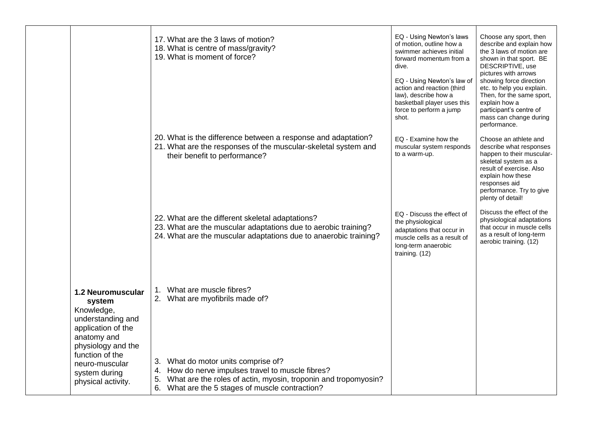|                                                                                                                                  | 17. What are the 3 laws of motion?<br>18. What is centre of mass/gravity?<br>19. What is moment of force?                                                                                                              | EQ - Using Newton's laws<br>of motion, outline how a<br>swimmer achieves initial<br>forward momentum from a<br>dive.<br>EQ - Using Newton's law of<br>action and reaction (third<br>law), describe how a<br>basketball player uses this<br>force to perform a jump<br>shot. | Choose any sport, then<br>describe and explain how<br>the 3 laws of motion are<br>shown in that sport. BE<br>DESCRIPTIVE, use<br>pictures with arrows<br>showing force direction<br>etc. to help you explain.<br>Then, for the same sport,<br>explain how a<br>participant's centre of<br>mass can change during<br>performance. |
|----------------------------------------------------------------------------------------------------------------------------------|------------------------------------------------------------------------------------------------------------------------------------------------------------------------------------------------------------------------|-----------------------------------------------------------------------------------------------------------------------------------------------------------------------------------------------------------------------------------------------------------------------------|----------------------------------------------------------------------------------------------------------------------------------------------------------------------------------------------------------------------------------------------------------------------------------------------------------------------------------|
|                                                                                                                                  | 20. What is the difference between a response and adaptation?<br>21. What are the responses of the muscular-skeletal system and<br>their benefit to performance?                                                       | EQ - Examine how the<br>muscular system responds<br>to a warm-up.                                                                                                                                                                                                           | Choose an athlete and<br>describe what responses<br>happen to their muscular-<br>skeletal system as a<br>result of exercise. Also<br>explain how these<br>responses aid<br>performance. Try to give<br>plenty of detail!                                                                                                         |
|                                                                                                                                  | 22. What are the different skeletal adaptations?<br>23. What are the muscular adaptations due to aerobic training?<br>24. What are the muscular adaptations due to anaerobic training?                                 | EQ - Discuss the effect of<br>the physiological<br>adaptations that occur in<br>muscle cells as a result of<br>long-term anaerobic<br>training. (12)                                                                                                                        | Discuss the effect of the<br>physiological adaptations<br>that occur in muscle cells<br>as a result of long-term<br>aerobic training. (12)                                                                                                                                                                                       |
| <b>1.2 Neuromuscular</b><br>system<br>Knowledge,<br>understanding and<br>application of the<br>anatomy and<br>physiology and the | What are muscle fibres?<br>1.<br>2. What are myofibrils made of?                                                                                                                                                       |                                                                                                                                                                                                                                                                             |                                                                                                                                                                                                                                                                                                                                  |
| function of the<br>neuro-muscular<br>system during<br>physical activity.                                                         | 3. What do motor units comprise of?<br>How do nerve impulses travel to muscle fibres?<br>4.<br>What are the roles of actin, myosin, troponin and tropomyosin?<br>5.<br>6. What are the 5 stages of muscle contraction? |                                                                                                                                                                                                                                                                             |                                                                                                                                                                                                                                                                                                                                  |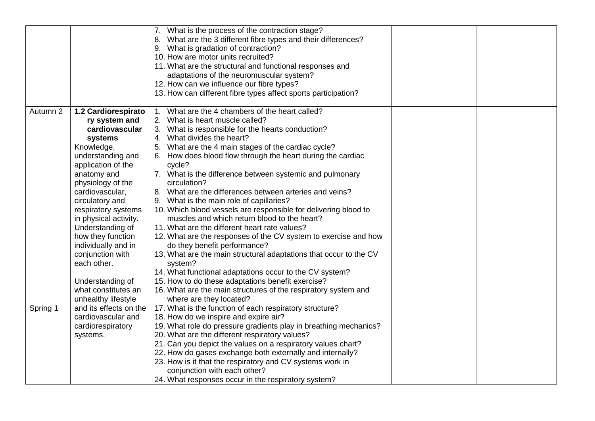|          |                                                                                                                                                                                                                                                                                                                                                                                                                           | 7. What is the process of the contraction stage?<br>What are the 3 different fibre types and their differences?<br>9. What is gradation of contraction?<br>10. How are motor units recruited?<br>11. What are the structural and functional responses and<br>adaptations of the neuromuscular system?                                                                                                                                                                                                                                                                                                                                                                                                                                                                                                                                                                                                                                                                                                                                                           |  |
|----------|---------------------------------------------------------------------------------------------------------------------------------------------------------------------------------------------------------------------------------------------------------------------------------------------------------------------------------------------------------------------------------------------------------------------------|-----------------------------------------------------------------------------------------------------------------------------------------------------------------------------------------------------------------------------------------------------------------------------------------------------------------------------------------------------------------------------------------------------------------------------------------------------------------------------------------------------------------------------------------------------------------------------------------------------------------------------------------------------------------------------------------------------------------------------------------------------------------------------------------------------------------------------------------------------------------------------------------------------------------------------------------------------------------------------------------------------------------------------------------------------------------|--|
|          |                                                                                                                                                                                                                                                                                                                                                                                                                           | 12. How can we influence our fibre types?<br>13. How can different fibre types affect sports participation?                                                                                                                                                                                                                                                                                                                                                                                                                                                                                                                                                                                                                                                                                                                                                                                                                                                                                                                                                     |  |
| Autumn 2 | 1.2 Cardiorespirato<br>ry system and<br>cardiovascular<br>systems<br>Knowledge,<br>understanding and<br>application of the<br>anatomy and<br>physiology of the<br>cardiovascular,<br>circulatory and<br>respiratory systems<br>in physical activity.<br>Understanding of<br>how they function<br>individually and in<br>conjunction with<br>each other.<br>Understanding of<br>what constitutes an<br>unhealthy lifestyle | What are the 4 chambers of the heart called?<br>1.<br>2. What is heart muscle called?<br>3. What is responsible for the hearts conduction?<br>4. What divides the heart?<br>5. What are the 4 main stages of the cardiac cycle?<br>6. How does blood flow through the heart during the cardiac<br>cycle?<br>7. What is the difference between systemic and pulmonary<br>circulation?<br>8. What are the differences between arteries and veins?<br>9. What is the main role of capillaries?<br>10. Which blood vessels are responsible for delivering blood to<br>muscles and which return blood to the heart?<br>11. What are the different heart rate values?<br>12. What are the responses of the CV system to exercise and how<br>do they benefit performance?<br>13. What are the main structural adaptations that occur to the CV<br>system?<br>14. What functional adaptations occur to the CV system?<br>15. How to do these adaptations benefit exercise?<br>16. What are the main structures of the respiratory system and<br>where are they located? |  |
| Spring 1 | and its effects on the<br>cardiovascular and<br>cardiorespiratory<br>systems.                                                                                                                                                                                                                                                                                                                                             | 17. What is the function of each respiratory structure?<br>18. How do we inspire and expire air?<br>19. What role do pressure gradients play in breathing mechanics?<br>20. What are the different respiratory values?<br>21. Can you depict the values on a respiratory values chart?<br>22. How do gases exchange both externally and internally?<br>23. How is it that the respiratory and CV systems work in<br>conjunction with each other?<br>24. What responses occur in the respiratory system?                                                                                                                                                                                                                                                                                                                                                                                                                                                                                                                                                         |  |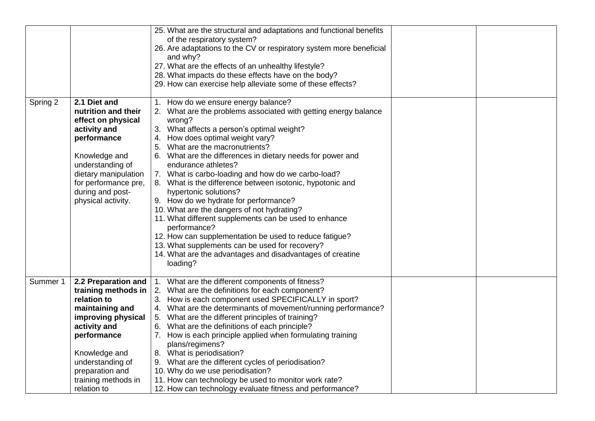|          |                                                                                                                                                                                                                         | 25. What are the structural and adaptations and functional benefits<br>of the respiratory system?<br>26. Are adaptations to the CV or respiratory system more beneficial<br>and why?<br>27. What are the effects of an unhealthy lifestyle?<br>28. What impacts do these effects have on the body?<br>29. How can exercise help alleviate some of these effects?                                                                                                                                                                                                                                                                                                                                                                                                                                                            |  |
|----------|-------------------------------------------------------------------------------------------------------------------------------------------------------------------------------------------------------------------------|-----------------------------------------------------------------------------------------------------------------------------------------------------------------------------------------------------------------------------------------------------------------------------------------------------------------------------------------------------------------------------------------------------------------------------------------------------------------------------------------------------------------------------------------------------------------------------------------------------------------------------------------------------------------------------------------------------------------------------------------------------------------------------------------------------------------------------|--|
| Spring 2 | 2.1 Diet and<br>nutrition and their<br>effect on physical<br>activity and<br>performance<br>Knowledge and<br>understanding of<br>dietary manipulation<br>for performance pre,<br>during and post-<br>physical activity. | 1. How do we ensure energy balance?<br>2. What are the problems associated with getting energy balance<br>wrong?<br>3. What affects a person's optimal weight?<br>4. How does optimal weight vary?<br>5. What are the macronutrients?<br>6. What are the differences in dietary needs for power and<br>endurance athletes?<br>7. What is carbo-loading and how do we carbo-load?<br>8. What is the difference between isotonic, hypotonic and<br>hypertonic solutions?<br>9. How do we hydrate for performance?<br>10. What are the dangers of not hydrating?<br>11. What different supplements can be used to enhance<br>performance?<br>12. How can supplementation be used to reduce fatigue?<br>13. What supplements can be used for recovery?<br>14. What are the advantages and disadvantages of creatine<br>loading? |  |
| Summer 1 | 2.2 Preparation and<br>relation to<br>maintaining and<br>improving physical<br>activity and<br>performance<br>Knowledge and<br>understanding of<br>preparation and<br>training methods in<br>relation to                | 1. What are the different components of fitness?<br>training methods in $\vert$ 2. What are the definitions for each component?<br>3. How is each component used SPECIFICALLY in sport?<br>4. What are the determinants of movement/running performance?<br>5. What are the different principles of training?<br>6. What are the definitions of each principle?<br>7. How is each principle applied when formulating training<br>plans/regimens?<br>8. What is periodisation?<br>9. What are the different cycles of periodisation?<br>10. Why do we use periodisation?<br>11. How can technology be used to monitor work rate?<br>12. How can technology evaluate fitness and performance?                                                                                                                                 |  |